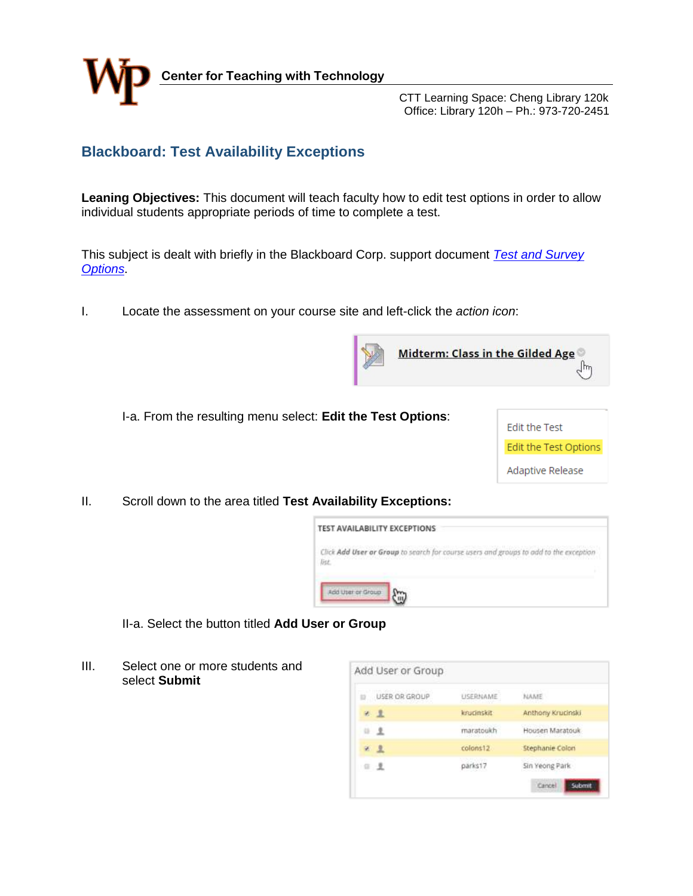

 CTT Learning Space: Cheng Library 120k Office: Library 120h – Ph.: 973-720-2451

## **Blackboard: Test Availability Exceptions**

**Leaning Objectives:** This document will teach faculty how to edit test options in order to allow individual students appropriate periods of time to complete a test.

This subject is dealt with briefly in the Blackboard Corp. support document *[Test and Survey](https://help.blackboard.com/Learn/Instructor/Tests_Pools_Surveys/Test_and_Survey_Options#test-availability-exceptions_OTP-4)  [Options](https://help.blackboard.com/Learn/Instructor/Tests_Pools_Surveys/Test_and_Survey_Options#test-availability-exceptions_OTP-4)*.

I. Locate the assessment on your course site and left-click the *action icon*:







II. Scroll down to the area titled **Test Availability Exceptions:**

| TEST AVAILABILITY EXCEPTIONS |                                                                                                                                                                                 |
|------------------------------|---------------------------------------------------------------------------------------------------------------------------------------------------------------------------------|
| list                         | Click Add User or Group to search for course users and groups to add to the exception<br>는 수학 의사가 사랑하다가 아무리는 것이 되었다. 그는 사람이 글 사람은 사람은 아직에 들어가 가지고 있어 안 먹고 있다. 사람은 공부 사람들이 사랑하다. |
| Add User or Group            |                                                                                                                                                                                 |

II-a. Select the button titled **Add User or Group**

III. Select one or more students and select **Submit** 

| USER OR GROUP | <b>USERNAME</b> | NAME              |
|---------------|-----------------|-------------------|
|               |                 |                   |
| 2. 且          | knucinskit      | Anthony Krucinski |
| 3 皇           | maratoukh       | Housen Maratouk   |
| 9 2           | colons12        | Stephanie Colon   |
| 日支            | parks17         | Sin Yeong Park    |